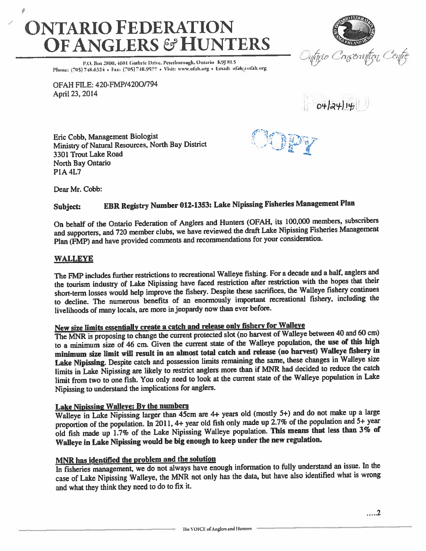# **ONTARIO FEDERATION OF ANGLERS & HUNTERS**

11111113 ntaio Conservation Centre

P.O. Box 2800, 4601 Guthrie Drive, Peterborough, Ontario K9J 81.5 Phone: (705) 748.6324 · Fax: (705) 748.9577 · Visit: www.ofah.org · Email: ofah@ofah.org

OFAH FILE: 420-FMP/420O/794 April 23, 2014

 $042414$ 

Eric Cobb, Management Biologist Ministry of Natural Resources, North Bay District 3301 Trout Lake Road **North Bay Ontario PIA 4L7** 

30月20

Dear Mr. Cobb:

ø

#### EBR Registry Number 012-1353: Lake Nipissing Fisheries Management Plan Subject:

On behalf of the Ontario Federation of Anglers and Hunters (OFAH, its 100,000 members, subscribers and supporters, and 720 member clubs, we have reviewed the draft Lake Nipissing Fisheries Management Plan (FMP) and have provided comments and recommendations for your consideration.

## **WALLEYE**

The FMP includes further restrictions to recreational Walleye fishing. For a decade and a half, anglers and the tourism industry of Lake Nipissing have faced restriction after restriction with the hopes that their short-term losses would help improve the fishery. Despite these sacrifices, the Walleye fishery continues to decline. The numerous benefits of an enormously important recreational fishery, including the livelihoods of many locals, are more in jeopardy now than ever before.

## New size limits essentially create a catch and release only fishery for Walleye

The MNR is proposing to change the current protected slot (no harvest of Walleye between 40 and 60 cm) to a minimum size of 46 cm. Given the current state of the Walleye population, the use of this high minimum size limit will result in an almost total catch and release (no harvest) Walleye fishery in Lake Nipissing. Despite catch and possession limits remaining the same, these changes in Walleye size limits in Lake Nipissing are likely to restrict anglers more than if MNR had decided to reduce the catch limit from two to one fish. You only need to look at the current state of the Walleye population in Lake Nipissing to understand the implications for anglers.

## **Lake Nipissing Walleye: By the numbers**

Walleye in Lake Nipissing larger than 45cm are 4+ years old (mostly 5+) and do not make up a large proportion of the population. In 2011, 4+ year old fish only made up 2.7% of the population and 5+ year old fish made up 1.7% of the Lake Nipissing Walleye population. This means that less than 3% of Walleye in Lake Nipissing would be big enough to keep under the new regulation.

## MNR has identified the problem and the solution

In fisheries management, we do not always have enough information to fully understand an issue. In the case of Lake Nipissing Walleye, the MNR not only has the data, but have also identified what is wrong and what they think they need to do to fix it.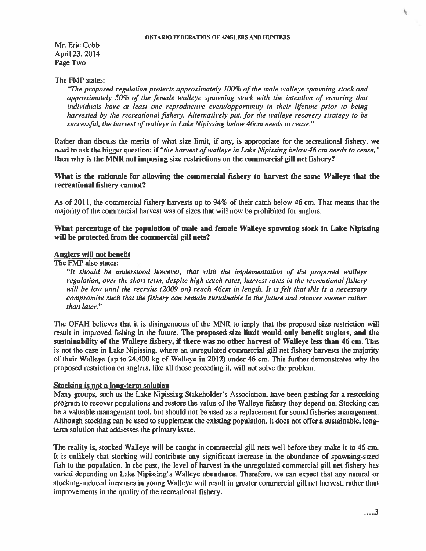Mr. Eric Cobb April 23, 2014 Page Two

#### The FMP states:

"The proposed regulation protects approximately 100% of the male walleye spawning stock and approximately 50% of the female walleye spawning stock with the intention of ensuring that individuals have at least one reproductive event/opportunity in their lifetime prior to being harvested by the recreational fishery. Alternatively put, for the walleye recovery strategy to be successful, the harvest of walleye in Lake Nipissing below 46cm needs to cease."

Rather than discuss the merits of what size limit, if any, is appropriate for the recreational fishery, we need to ask the bigger question; if "the harvest of walleye in Lake Nipissing below 46 cm needs to cease," then why is the MNR not imposing size restrictions on the commercial gill net fishery?

#### What is the rationale for allowing the commercial fishery to harvest the same Walleye that the recreational fishery cannot?

As of 2011, the commercial fishery harvests up to 94% of their catch below 46 cm. That means that the majority of the commercial harvest was of sizes that will now be prohibited for anglers.

What percentage of the population of male and female Walleye spawning stock in Lake Nipissing will be protected from the commercial gill nets?

## **Anglers will not benefit**

The FMP also states:

"It should be understood however, that with the implementation of the proposed walleye regulation, over the short term, despite high catch rates, harvest rates in the recreational fishery will be low until the recruits (2009 on) reach 46cm in length. It is felt that this is a necessary compromise such that the fishery can remain sustainable in the future and recover sooner rather than later."

The OFAH believes that it is disingenuous of the MNR to imply that the proposed size restriction will result in improved fishing in the future. The proposed size limit would only benefit anglers, and the sustainability of the Walleye fishery, if there was no other harvest of Walleye less than 46 cm. This is not the case in Lake Nipissing, where an unregulated commercial gill net fishery harvests the majority of their Walleye (up to 24,400 kg of Walleye in 2012) under 46 cm. This further demonstrates why the proposed restriction on anglers, like all those preceding it, will not solve the problem.

#### Stocking is not a long-term solution

Many groups, such as the Lake Nipissing Stakeholder's Association, have been pushing for a restocking program to recover populations and restore the value of the Walleye fishery they depend on. Stocking can be a valuable management tool, but should not be used as a replacement for sound fisheries management. Although stocking can be used to supplement the existing population, it does not offer a sustainable, longterm solution that addresses the primary issue.

The reality is, stocked Walleye will be caught in commercial gill nets well before they make it to 46 cm. It is unlikely that stocking will contribute any significant increase in the abundance of spawning-sized fish to the population. In the past, the level of harvest in the unregulated commercial gill net fishery has varied depending on Lake Nipissing's Walleye abundance. Therefore, we can expect that any natural or stocking-induced increases in young Walleye will result in greater commercial gill net harvest, rather than improvements in the quality of the recreational fishery.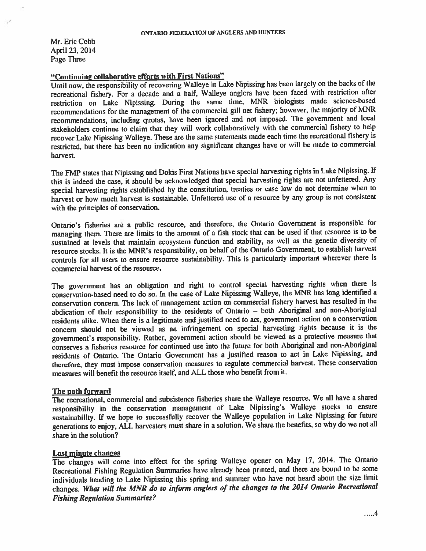Mr. Eric Cobb April 23, 2014 Page Three

#### "Continuing collaborative efforts with First Nations"

Until now, the responsibility of recovering Walleye in Lake Nipissing has been largely on the backs of the recreational fishery. For a decade and a half, Walleye anglers have been faced with restriction after restriction on Lake Nipissing. During the same time, MNR biologists made science-based recommendations for the management of the commercial gill net fishery; however, the majority of MNR recommendations, including quotas, have been ignored and not imposed. The government and local stakeholders continue to claim that they will work collaboratively with the commercial fishery to help recover Lake Nipissing Walleye. These are the same statements made each time the recreational fishery is restricted, but there has been no indication any significant changes have or will be made to commercial harvest.

The FMP states that Nipissing and Dokis First Nations have special harvesting rights in Lake Nipissing. If this is indeed the case, it should be acknowledged that special harvesting rights are not unfettered. Any special harvesting rights established by the constitution, treaties or case law do not determine when to harvest or how much harvest is sustainable. Unfettered use of a resource by any group is not consistent with the principles of conservation.

Ontario's fisheries are a public resource, and therefore, the Ontario Government is responsible for managing them. There are limits to the amount of a fish stock that can be used if that resource is to be sustained at levels that maintain ecosystem function and stability, as well as the genetic diversity of resource stocks. It is the MNR's responsibility, on behalf of the Ontario Government, to establish harvest controls for all users to ensure resource sustainability. This is particularly important wherever there is commercial harvest of the resource.

The government has an obligation and right to control special harvesting rights when there is conservation-based need to do so. In the case of Lake Nipissing Walleye, the MNR has long identified a conservation concern. The lack of management action on commercial fishery harvest has resulted in the abdication of their responsibility to the residents of Ontario - both Aboriginal and non-Aboriginal residents alike. When there is a legitimate and justified need to act, government action on a conservation concern should not be viewed as an infringement on special harvesting rights because it is the government's responsibility. Rather, government action should be viewed as a protective measure that conserves a fisheries resource for continued use into the future for both Aboriginal and non-Aboriginal residents of Ontario. The Ontario Government has a justified reason to act in Lake Nipissing, and therefore, they must impose conservation measures to regulate commercial harvest. These conservation measures will benefit the resource itself, and ALL those who benefit from it.

## The path forward

The recreational, commercial and subsistence fisheries share the Walleye resource. We all have a shared responsibility in the conservation management of Lake Nipissing's Walleye stocks to ensure sustainability. If we hope to successfully recover the Walleye population in Lake Nipissing for future generations to enjoy, ALL harvesters must share in a solution. We share the benefits, so why do we not all share in the solution?

## Last minute changes

The changes will come into effect for the spring Walleye opener on May 17, 2014. The Ontario Recreational Fishing Regulation Summaries have already been printed, and there are bound to be some individuals heading to Lake Nipissing this spring and summer who have not heard about the size limit changes. What will the MNR do to inform anglers of the changes to the 2014 Ontario Recreational **Fishing Regulation Summaries?**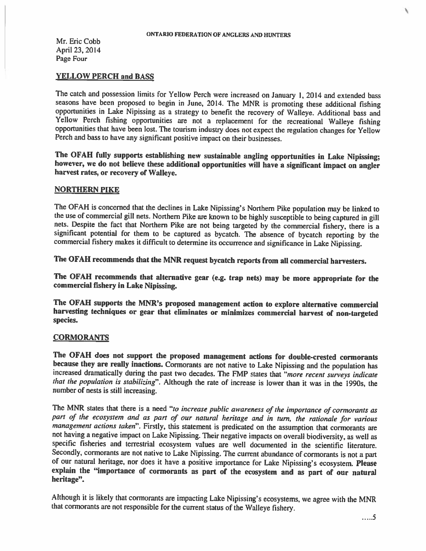Mr. Eric Cobb April 23, 2014 Page Four

## **YELLOW PERCH and BASS**

The catch and possession limits for Yellow Perch were increased on January 1, 2014 and extended bass seasons have been proposed to begin in June, 2014. The MNR is promoting these additional fishing opportunities in Lake Nipissing as a strategy to benefit the recovery of Walleye. Additional bass and Yellow Perch fishing opportunities are not a replacement for the recreational Walleye fishing opportunities that have been lost. The tourism industry does not expect the regulation changes for Yellow Perch and bass to have any significant positive impact on their businesses.

The OFAH fully supports establishing new sustainable angling opportunities in Lake Nipissing; however, we do not believe these additional opportunities will have a significant impact on angler harvest rates, or recovery of Walleye.

## **NORTHERN PIKE**

The OFAH is concerned that the declines in Lake Nipissing's Northern Pike population may be linked to the use of commercial gill nets. Northern Pike are known to be highly susceptible to being captured in gill nets. Despite the fact that Northern Pike are not being targeted by the commercial fishery, there is a significant potential for them to be captured as bycatch. The absence of bycatch reporting by the commercial fishery makes it difficult to determine its occurrence and significance in Lake Nipissing.

The OFAH recommends that the MNR request bycatch reports from all commercial harvesters.

The OFAH recommends that alternative gear (e.g. trap nets) may be more appropriate for the commercial fishery in Lake Nipissing.

The OFAH supports the MNR's proposed management action to explore alternative commercial harvesting techniques or gear that eliminates or minimizes commercial harvest of non-targeted species.

## **CORMORANTS**

The OFAH does not support the proposed management actions for double-crested cormorants because they are really inactions. Cormorants are not native to Lake Nipissing and the population has increased dramatically during the past two decades. The FMP states that "more recent surveys indicate that the population is stabilizing". Although the rate of increase is lower than it was in the 1990s, the number of nests is still increasing.

The MNR states that there is a need "to increase public awareness of the importance of cormorants as part of the ecosystem and as part of our natural heritage and in turn, the rationale for various management actions taken". Firstly, this statement is predicated on the assumption that cormorants are not having a negative impact on Lake Nipissing. Their negative impacts on overall biodiversity, as well as specific fisheries and terrestrial ecosystem values are well documented in the scientific literature. Secondly, cormorants are not native to Lake Nipissing. The current abundance of cormorants is not a part of our natural heritage, nor does it have a positive importance for Lake Nipissing's ecosystem. Please explain the "importance of cormorants as part of the ecosystem and as part of our natural heritage".

Although it is likely that cormorants are impacting Lake Nipissing's ecosystems, we agree with the MNR that cormorants are not responsible for the current status of the Walleye fishery.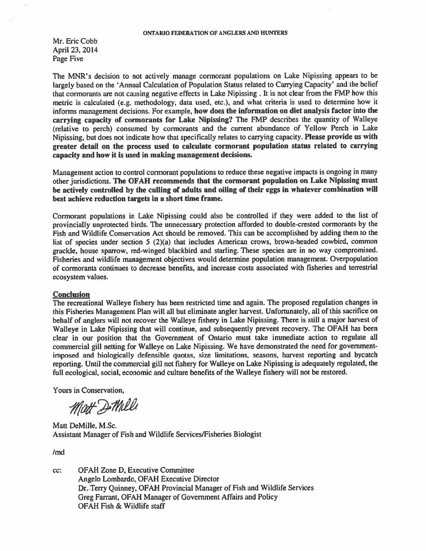Mr. Eric Cobb April 23, 2014 Page Five

The MNR's decision to not actively manage cormorant populations on Lake Nipissing appears to be largely based on the 'Annual Calculation of Population Status related to Carrying Capacity' and the belief that cormorants are not causing negative effects in Lake Nipissing. It is not clear from the FMP how this metric is calculated (e.g. methodology, data used, etc.), and what criteria is used to determine how it informs management decisions. For example, how does the information on diet analysis factor into the carrying capacity of cormorants for Lake Nipissing? The FMP describes the quantity of Walleye (relative to perch) consumed by cormorants and the current abundance of Yellow Perch in Lake Nipissing, but does not indicate how that specifically relates to carrying capacity. Please provide us with greater detail on the process used to calculate cormorant population status related to carrying capacity and how it is used in making management decisions.

Management action to control cormorant populations to reduce these negative impacts is ongoing in many other jurisdictions. The OFAH recommends that the cormorant population on Lake Nipissing must be actively controlled by the culling of adults and oiling of their eggs in whatever combination will best achieve reduction targets in a short time frame.

Cormorant populations in Lake Nipissing could also be controlled if they were added to the list of provincially unprotected birds. The unnecessary protection afforded to double-crested cormorants by the Fish and Wildlife Conservation Act should be removed. This can be accomplished by adding them to the list of species under section 5 (2)(a) that includes American crows, brown-headed cowbird, common grackle, house sparrow, red-winged blackbird and starling. These species are in no way compromised. Fisheries and wildlife management objectives would determine population management. Overpopulation of cormorants continues to decrease benefits, and increase costs associated with fisheries and terrestrial ecosystem values.

#### **Conclusion**

The recreational Walleye fishery has been restricted time and again. The proposed regulation changes in this Fisheries Management Plan will all but eliminate angler harvest. Unfortunately, all of this sacrifice on behalf of anglers will not recover the Walleye fishery in Lake Nipissing. There is still a major harvest of Walleye in Lake Nipissing that will continue, and subsequently prevent recovery. The OFAH has been clear in our position that the Government of Ontario must take immediate action to regulate all commercial gill netting for Walleye on Lake Nipissing. We have demonstrated the need for governmentimposed and biologically defensible quotas, size limitations, seasons, harvest reporting and bycatch reporting. Until the commercial gill net fishery for Walleye on Lake Nipissing is adequately regulated, the full ecological, social, economic and culture benefits of the Walleye fishery will not be restored.

Yours in Conservation,

Matt DoMille

Matt DeMille, M.Sc. Assistant Manager of Fish and Wildlife Services/Fisheries Biologist

 $/md$ 

OFAH Zone D, Executive Committee cc: Angelo Lombardo, OFAH Executive Director Dr. Terry Quinney, OFAH Provincial Manager of Fish and Wildlife Services Greg Farrant, OFAH Manager of Government Affairs and Policy OFAH Fish & Wildlife staff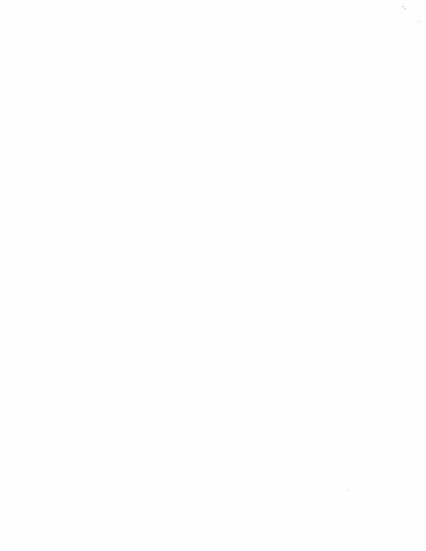Ķ.

 $\frac{1}{2} \frac{1}{1}$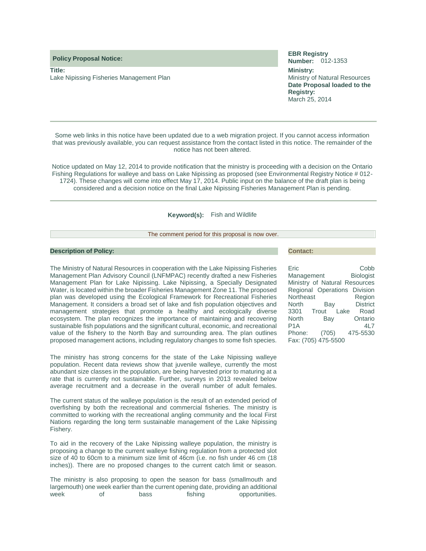**Policy Proposal Notice:** 

**Title:** Lake Nipissing Fisheries Management Plan

#### **EBR Registry Number:** 012-1353

**Ministry:** Ministry of Natural Resources **Date Proposal loaded to the Registry:** March 25, 2014

Some web links in this notice have been updated due to a web migration project. If you cannot access information that was previously available, you can request assistance from the contact listed in this notice. The remainder of the notice has not been altered.

Notice updated on May 12, 2014 to provide notification that the ministry is proceeding with a decision on the Ontario Fishing Regulations for walleye and bass on Lake Nipissing as proposed (see Environmental Registry Notice # 012- 1724). These changes will come into effect May 17, 2014. Public input on the balance of the draft plan is being considered and a decision notice on the final Lake Nipissing Fisheries Management Plan is pending.

**Keyword(s):** Fish and Wildlife

The comment period for this proposal is now over.

**Description of Policy:** 

The Ministry of Natural Resources in cooperation with the Lake Nipissing Fisheries Management Plan Advisory Council (LNFMPAC) recently drafted a new Fisheries Management Plan for Lake Nipissing. Lake Nipissing, a Specially Designated Water, is located within the broader Fisheries Management Zone 11. The proposed plan was developed using the Ecological Framework for Recreational Fisheries Management. It considers a broad set of lake and fish population objectives and management strategies that promote a healthy and ecologically diverse ecosystem. The plan recognizes the importance of maintaining and recovering sustainable fish populations and the significant cultural, economic, and recreational value of the fishery to the North Bay and surrounding area. The plan outlines proposed management actions, including regulatory changes to some fish species.

The ministry has strong concerns for the state of the Lake Nipissing walleye population. Recent data reviews show that juvenile walleye, currently the most abundant size classes in the population, are being harvested prior to maturing at a rate that is currently not sustainable. Further, surveys in 2013 revealed below average recruitment and a decrease in the overall number of adult females.

The current status of the walleye population is the result of an extended period of overfishing by both the recreational and commercial fisheries. The ministry is committed to working with the recreational angling community and the local First Nations regarding the long term sustainable management of the Lake Nipissing Fishery.

To aid in the recovery of the Lake Nipissing walleye population, the ministry is proposing a change to the current walleye fishing regulation from a protected slot size of 40 to 60cm to a minimum size limit of 46cm (i.e. no fish under 46 cm (18 inches)). There are no proposed changes to the current catch limit or season.

The ministry is also proposing to open the season for bass (smallmouth and largemouth) one week earlier than the current opening date, providing an additional week of bass fishing opportunities.

#### **Contact:**

Eric Cobb Management Biologist Ministry of Natural Resources Regional Operations Division Northeast Region North Bay District<br>3301 Trout Lake Road 3301 Trout Lake Road<br>North Bav Ontario Bay Ontario P1A 4L7 Phone: (705) 475-5530 Fax: (705) 475-5500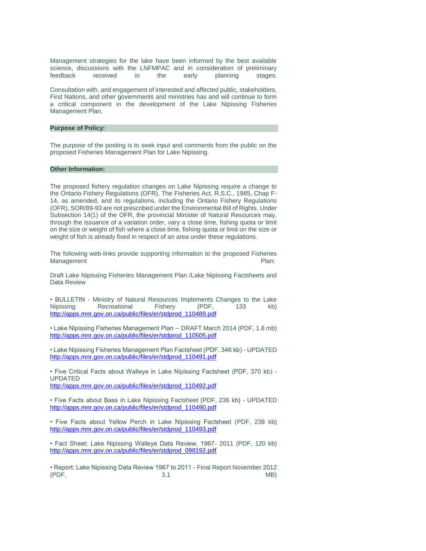Management strategies for the lake have been informed by the best available science, discussions with the LNFMPAC and in consideration of preliminary feedback received in the early planning stages.

Consultation with, and engagement of interested and affected public, stakeholders, First Nations, and other governments and ministries has and will continue to form a critical component in the development of the Lake Nipissing Fisheries Management Plan.

#### **Purpose of Policy:**

The purpose of the posting is to seek input and comments from the public on the proposed Fisheries Management Plan for Lake Nipissing.

#### **Other Information:**

The proposed fishery regulation changes on Lake Nipissing require a change to the Ontario Fishery Regulations (OFR). The Fisheries Act, R.S.C., 1985, Chap F-14, as amended, and its regulations, including the Ontario Fishery Regulations (OFR), SOR/89-93 are not prescribed under the Environmental Bill of Rights. Under Subsection 14(1) of the OFR, the provincial Minister of Natural Resources may, through the issuance of a variation order, vary a close time, fishing quota or limit on the size or weight of fish where a close time, fishing quota or limit on the size or weight of fish is already fixed in respect of an area under these regulations.

The following web-links provide supporting information to the proposed Fisheries Management Plan:

Draft Lake Nipissing Fisheries Management Plan /Lake Nipissing Factsheets and Data Review

• BULLETIN - Ministry of Natural Resources Implements Changes to the Lake Nipissing Recreational Fishery (PDF, 133 kb) [http://apps.mnr.gov.on.ca/public/files/er/stdprod\\_110489.pdf](http://apps.mnr.gov.on.ca/public/files/er/stdprod_110489.pdf)

• Lake Nipissing Fisheries Management Plan -- DRAFT March 2014 (PDF, 1.8 mb) [http://apps.mnr.gov.on.ca/public/files/er/stdprod\\_110505.pdf](http://apps.mnr.gov.on.ca/public/files/er/stdprod_110505.pdf)

• Lake Nipissing Fisheries Management Plan Factsheet (PDF, 346 kb) - UPDATED [http://apps.mnr.gov.on.ca/public/files/er/stdprod\\_110491.pdf](http://apps.mnr.gov.on.ca/public/files/er/stdprod_110491.pdf)

• Five Critical Facts about Walleye in Lake Nipissing Factsheet (PDF, 370 kb) - UPDATED

[http://apps.mnr.gov.on.ca/public/files/er/stdprod\\_110492.pdf](http://apps.mnr.gov.on.ca/public/files/er/stdprod_110492.pdf)

• Five Facts about Bass in Lake Nipissing Factsheet (PDF, 236 kb) - UPDATED [http://apps.mnr.gov.on.ca/public/files/er/stdprod\\_110490.pdf](http://apps.mnr.gov.on.ca/public/files/er/stdprod_110490.pdf)

• Five Facts about Yellow Perch in Lake Nipissing Factsheet (PDF, 238 kb) [http://apps.mnr.gov.on.ca/public/files/er/stdprod\\_110493.pdf](http://apps.mnr.gov.on.ca/public/files/er/stdprod_110493.pdf) 

• Fact Sheet: Lake Nipissing Walleye Data Review, 1967- 2011 (PDF, 120 kb) [http://apps.mnr.gov.on.ca/public/files/er/stdprod\\_098192.pdf](http://apps.mnr.gov.on.ca/public/files/er/stdprod_098192.pdf) 

• Report: Lake Nipissing Data Review 1967 to 2011 - Final Report November 2012 (PDF, 3.1 MB)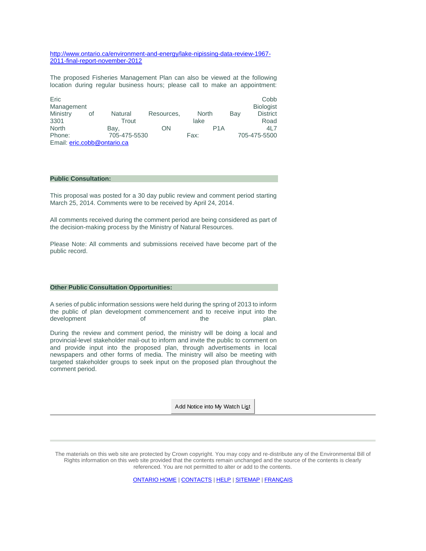[http://www.ontario.ca/environment-and-energy/lake-nipissing-data-review-1967-](http://www.ontario.ca/environment-and-energy/lake-nipissing-data-review-1967-2011-final-report-november-2012) [2011-final-report-november-2012](http://www.ontario.ca/environment-and-energy/lake-nipissing-data-review-1967-2011-final-report-november-2012)

The proposed Fisheries Management Plan can also be viewed at the following location during regular business hours; please call to make an appointment:

| Eric                        |    |              |            |              |                  |     | Cobb             |
|-----------------------------|----|--------------|------------|--------------|------------------|-----|------------------|
| Management                  |    |              |            |              |                  |     | <b>Biologist</b> |
| Ministry                    | ot | Natural      | Resources. | <b>North</b> |                  | Bay | <b>District</b>  |
| 3301                        |    | Trout        |            | lake         |                  |     | Road             |
| <b>North</b>                |    | Bay,         | ΟN         |              | P <sub>1</sub> A |     | 4L7              |
| Phone:                      |    | 705-475-5530 |            | Fax:         |                  |     | 705-475-5500     |
| Email: eric.cobb@ontario.ca |    |              |            |              |                  |     |                  |

#### **Public Consultation:**

This proposal was posted for a 30 day public review and comment period starting March 25, 2014. Comments were to be received by April 24, 2014.

All comments received during the comment period are being considered as part of the decision-making process by the Ministry of Natural Resources.

Please Note: All comments and submissions received have become part of the public record.

#### **Other Public Consultation Opportunities:**

A series of public information sessions were held during the spring of 2013 to inform the public of plan development commencement and to receive input into the development of the plan.

During the review and comment period, the ministry will be doing a local and provincial-level stakeholder mail-out to inform and invite the public to comment on and provide input into the proposed plan, through advertisements in local newspapers and other forms of media. The ministry will also be meeting with targeted stakeholder groups to seek input on the proposed plan throughout the comment period.

Add Notice into My Watch List

The materials on this web site are protected by Crown copyright. You may copy and re-distribute any of the Environmental Bill of Rights information on this web site provided that the contents remain unchanged and the source of the contents is clearly referenced. You are not permitted to alter or add to the contents.

[ONTARIO HOME](http://www.ontario.ca/) [| CONTACTS](http://www.ebr.gov.on.ca/ERS-WEB-External/contactUs.jsp?menuIndex=6_1) [| HELP](http://www.ebr.gov.on.ca/ERS-WEB-External/content/index2.jsp?f0=howDoI.info&f1=howDoI.info.value&menuIndex=2_1) [| SITEMAP](http://www.ebr.gov.on.ca/ERS-WEB-External/content/index2.jsp?f0=misc.siteMap&f1=misc.siteMap.value&menuIndex=-1_0) [| FRANÇAIS](http://www.ebr.gov.on.ca/ERS-WEB-External/display.do?language=fr¤tURL=%2Fdisplaynoticecontent.do%3FnoticeId%3DMTIxODcz%26statusId%3DMTgyNjM1%26language%3Den)